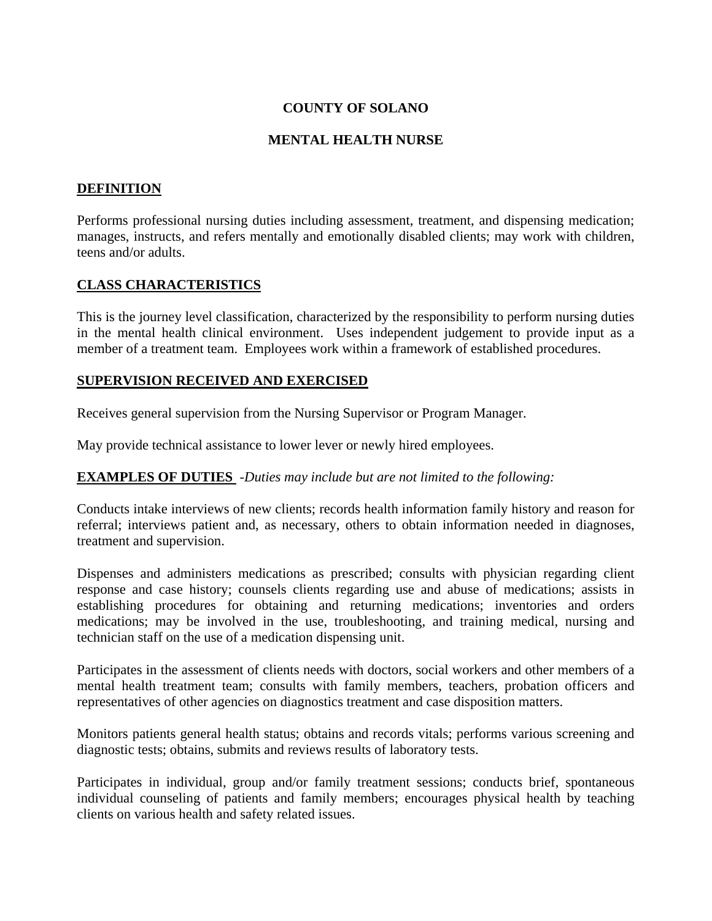# **COUNTY OF SOLANO**

### **MENTAL HEALTH NURSE**

# **DEFINITION**

Performs professional nursing duties including assessment, treatment, and dispensing medication; manages, instructs, and refers mentally and emotionally disabled clients; may work with children, teens and/or adults.

### **CLASS CHARACTERISTICS**

This is the journey level classification, characterized by the responsibility to perform nursing duties in the mental health clinical environment. Uses independent judgement to provide input as a member of a treatment team. Employees work within a framework of established procedures.

#### **SUPERVISION RECEIVED AND EXERCISED**

Receives general supervision from the Nursing Supervisor or Program Manager.

May provide technical assistance to lower lever or newly hired employees.

#### **EXAMPLES OF DUTIES** -*Duties may include but are not limited to the following:*

Conducts intake interviews of new clients; records health information family history and reason for referral; interviews patient and, as necessary, others to obtain information needed in diagnoses, treatment and supervision.

Dispenses and administers medications as prescribed; consults with physician regarding client response and case history; counsels clients regarding use and abuse of medications; assists in establishing procedures for obtaining and returning medications; inventories and orders medications; may be involved in the use, troubleshooting, and training medical, nursing and technician staff on the use of a medication dispensing unit.

Participates in the assessment of clients needs with doctors, social workers and other members of a mental health treatment team; consults with family members, teachers, probation officers and representatives of other agencies on diagnostics treatment and case disposition matters.

Monitors patients general health status; obtains and records vitals; performs various screening and diagnostic tests; obtains, submits and reviews results of laboratory tests.

Participates in individual, group and/or family treatment sessions; conducts brief, spontaneous individual counseling of patients and family members; encourages physical health by teaching clients on various health and safety related issues.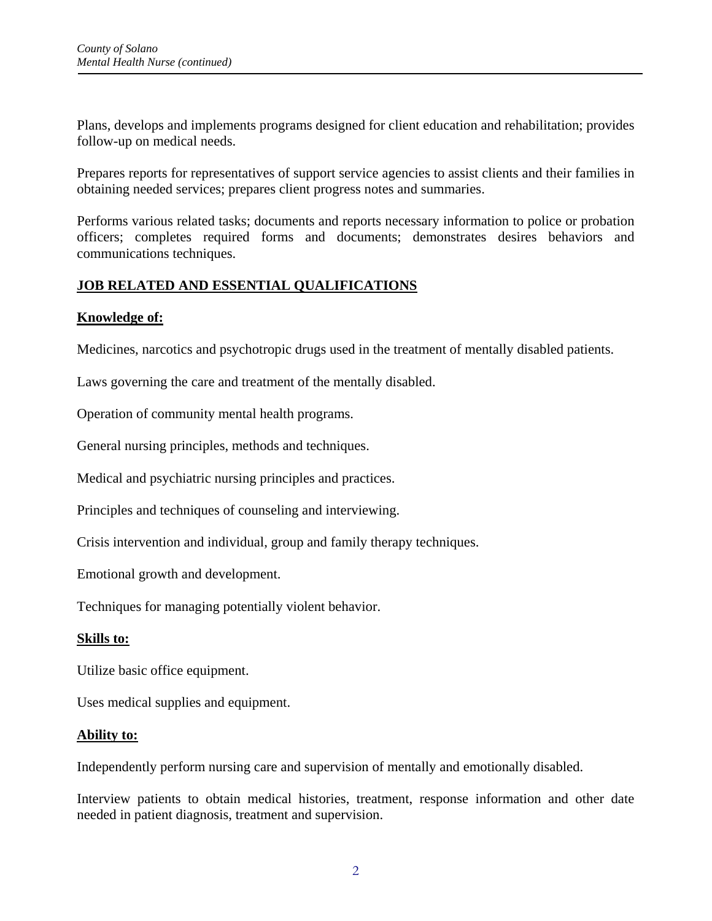Plans, develops and implements programs designed for client education and rehabilitation; provides follow-up on medical needs.

Prepares reports for representatives of support service agencies to assist clients and their families in obtaining needed services; prepares client progress notes and summaries.

Performs various related tasks; documents and reports necessary information to police or probation officers; completes required forms and documents; demonstrates desires behaviors and communications techniques.

# **JOB RELATED AND ESSENTIAL QUALIFICATIONS**

### **Knowledge of:**

Medicines, narcotics and psychotropic drugs used in the treatment of mentally disabled patients.

Laws governing the care and treatment of the mentally disabled.

Operation of community mental health programs.

General nursing principles, methods and techniques.

Medical and psychiatric nursing principles and practices.

Principles and techniques of counseling and interviewing.

Crisis intervention and individual, group and family therapy techniques.

Emotional growth and development.

Techniques for managing potentially violent behavior.

#### **Skills to:**

Utilize basic office equipment.

Uses medical supplies and equipment.

#### **Ability to:**

Independently perform nursing care and supervision of mentally and emotionally disabled.

Interview patients to obtain medical histories, treatment, response information and other date needed in patient diagnosis, treatment and supervision.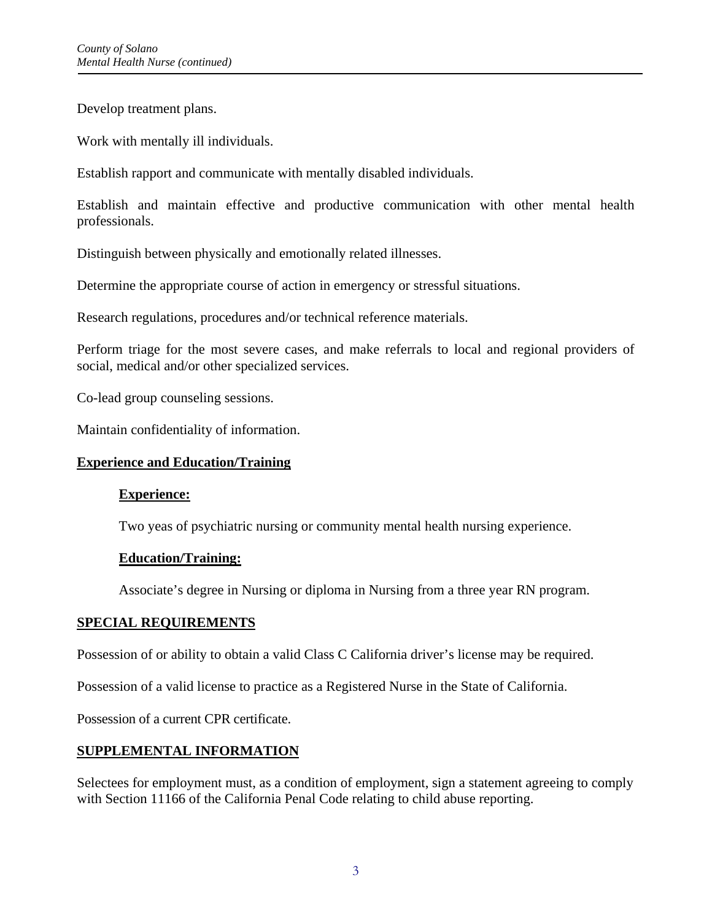Develop treatment plans.

Work with mentally ill individuals.

Establish rapport and communicate with mentally disabled individuals.

Establish and maintain effective and productive communication with other mental health professionals.

Distinguish between physically and emotionally related illnesses.

Determine the appropriate course of action in emergency or stressful situations.

Research regulations, procedures and/or technical reference materials.

Perform triage for the most severe cases, and make referrals to local and regional providers of social, medical and/or other specialized services.

Co-lead group counseling sessions.

Maintain confidentiality of information.

#### **Experience and Education/Training**

#### **Experience:**

Two yeas of psychiatric nursing or community mental health nursing experience.

#### **Education/Training:**

Associate's degree in Nursing or diploma in Nursing from a three year RN program.

#### **SPECIAL REQUIREMENTS**

Possession of or ability to obtain a valid Class C California driver's license may be required.

Possession of a valid license to practice as a Registered Nurse in the State of California.

Possession of a current CPR certificate.

#### **SUPPLEMENTAL INFORMATION**

Selectees for employment must, as a condition of employment, sign a statement agreeing to comply with Section 11166 of the California Penal Code relating to child abuse reporting.